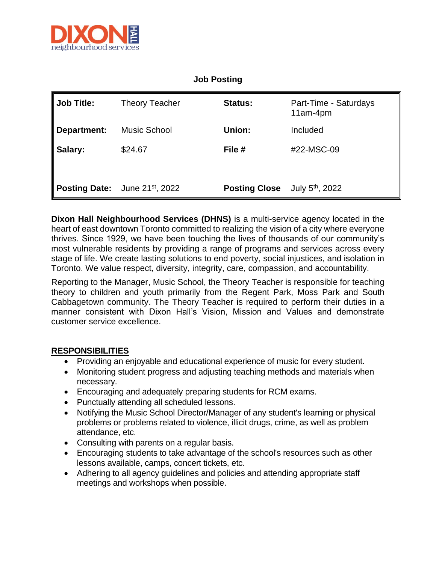

## **Job Posting**

| Job Title:                                 | <b>Theory Teacher</b> | <b>Status:</b>       | Part-Time - Saturdays<br>11am-4pm |
|--------------------------------------------|-----------------------|----------------------|-----------------------------------|
| ∥ Department:                              | Music School          | Union:               | Included                          |
| ∥ Salary:                                  | \$24.67               | File #               | #22-MSC-09                        |
| Posting Date: June 21 <sup>st</sup> , 2022 |                       | <b>Posting Close</b> | July 5 <sup>th</sup> , 2022       |

**Dixon Hall Neighbourhood Services (DHNS)** is a multi-service agency located in the heart of east downtown Toronto committed to realizing the vision of a city where everyone thrives. Since 1929, we have been touching the lives of thousands of our community's most vulnerable residents by providing a range of programs and services across every stage of life. We create lasting solutions to end poverty, social injustices, and isolation in Toronto. We value respect, diversity, integrity, care, compassion, and accountability.

Reporting to the Manager, Music School, the Theory Teacher is responsible for teaching theory to children and youth primarily from the Regent Park, Moss Park and South Cabbagetown community. The Theory Teacher is required to perform their duties in a manner consistent with Dixon Hall's Vision, Mission and Values and demonstrate customer service excellence.

## **RESPONSIBILITIES**

- Providing an enjoyable and educational experience of music for every student.
- Monitoring student progress and adjusting teaching methods and materials when necessary.
- Encouraging and adequately preparing students for RCM exams.
- Punctually attending all scheduled lessons.
- Notifying the Music School Director/Manager of any student's learning or physical problems or problems related to violence, illicit drugs, crime, as well as problem attendance, etc.
- Consulting with parents on a regular basis.
- Encouraging students to take advantage of the school's resources such as other lessons available, camps, concert tickets, etc.
- Adhering to all agency guidelines and policies and attending appropriate staff meetings and workshops when possible.